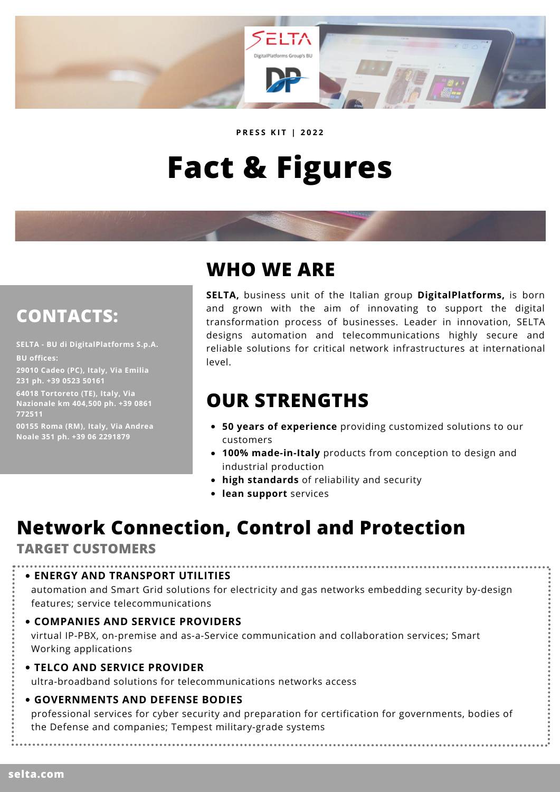

**P R E S S K I T | 2 0 2 2**

# **Fact & Figures**

### **CONTACTS:**

**SELTA - BU di DigitalPlatforms S.p.A. BU offices:**

**29010 Cadeo (PC), Italy, Via Emilia 231 ph. +39 0523 50161**

**64018 Tortoreto (TE), Italy, Via Nazionale km 404,500 ph. +39 0861 772511**

**00155 Roma (RM), Italy, Via Andrea Noale 351 ph. +39 06 2291879**

### **WHO WE ARE**

**SELTA,** business unit of the Italian group **DigitalPlatforms,** is born and grown with the aim of innovating to support the digital transformation process of businesses. Leader in innovation, SELTA designs automation and telecommunications highly secure and reliable solutions for critical network infrastructures at international level.

# **OUR STRENGTHS**

- **50 years of experience** providing customized solutions to our customers
- **100% made-in-Italy** products from conception to design and industrial production
- **high standards** of reliability and security
- **lean support** services

# **Network Connection, Control and Protection**

#### **TARGET CUSTOMERS**

**ENERGY AND TRANSPORT UTILITIES**

automation and Smart Grid solutions for electricity and gas networks embedding security by-design features; service telecommunications

**COMPANIES AND SERVICE PROVIDERS**

virtual IP-PBX, on-premise and as-a-Service communication and collaboration services; Smart Working applications

**TELCO AND SERVICE PROVIDER** ultra-broadband solutions for telecommunications networks access

#### **GOVERNMENTS AND DEFENSE BODIES**

professional services for cyber security and preparation for certification for governments, bodies of the Defense and companies; Tempest military-grade systems